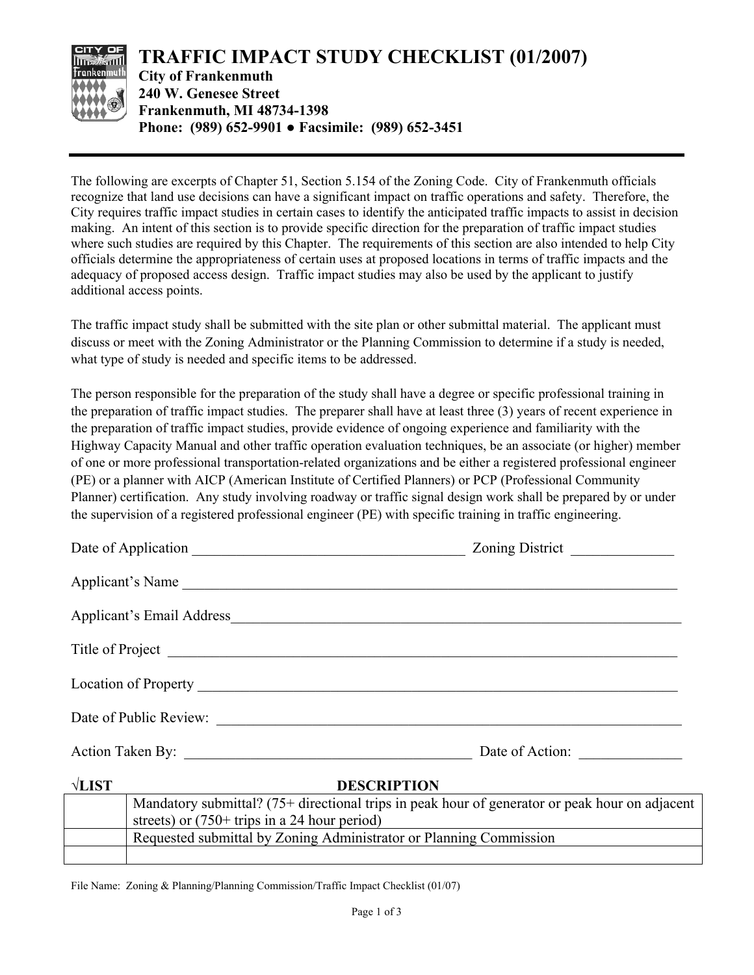

The following are excerpts of Chapter 51, Section 5.154 of the Zoning Code. City of Frankenmuth officials recognize that land use decisions can have a significant impact on traffic operations and safety. Therefore, the City requires traffic impact studies in certain cases to identify the anticipated traffic impacts to assist in decision making. An intent of this section is to provide specific direction for the preparation of traffic impact studies where such studies are required by this Chapter. The requirements of this section are also intended to help City officials determine the appropriateness of certain uses at proposed locations in terms of traffic impacts and the adequacy of proposed access design. Traffic impact studies may also be used by the applicant to justify additional access points.

The traffic impact study shall be submitted with the site plan or other submittal material. The applicant must discuss or meet with the Zoning Administrator or the Planning Commission to determine if a study is needed, what type of study is needed and specific items to be addressed.

The person responsible for the preparation of the study shall have a degree or specific professional training in the preparation of traffic impact studies. The preparer shall have at least three (3) years of recent experience in the preparation of traffic impact studies, provide evidence of ongoing experience and familiarity with the Highway Capacity Manual and other traffic operation evaluation techniques, be an associate (or higher) member of one or more professional transportation-related organizations and be either a registered professional engineer (PE) or a planner with AICP (American Institute of Certified Planners) or PCP (Professional Community Planner) certification. Any study involving roadway or traffic signal design work shall be prepared by or under the supervision of a registered professional engineer (PE) with specific training in traffic engineering.

|                        |                                                                                                                                                  | Zoning District |  |
|------------------------|--------------------------------------------------------------------------------------------------------------------------------------------------|-----------------|--|
| Applicant's Name       |                                                                                                                                                  |                 |  |
|                        |                                                                                                                                                  |                 |  |
|                        |                                                                                                                                                  |                 |  |
|                        |                                                                                                                                                  |                 |  |
| Date of Public Review: |                                                                                                                                                  |                 |  |
|                        |                                                                                                                                                  | Date of Action: |  |
| $\sqrt{$ <b>LIST</b>   | <b>DESCRIPTION</b>                                                                                                                               |                 |  |
|                        | Mandatory submittal? (75+ directional trips in peak hour of generator or peak hour on adjacent<br>streets) or $(750+$ trips in a 24 hour period) |                 |  |

File Name: Zoning & Planning/Planning Commission/Traffic Impact Checklist (01/07)

Requested submittal by Zoning Administrator or Planning Commission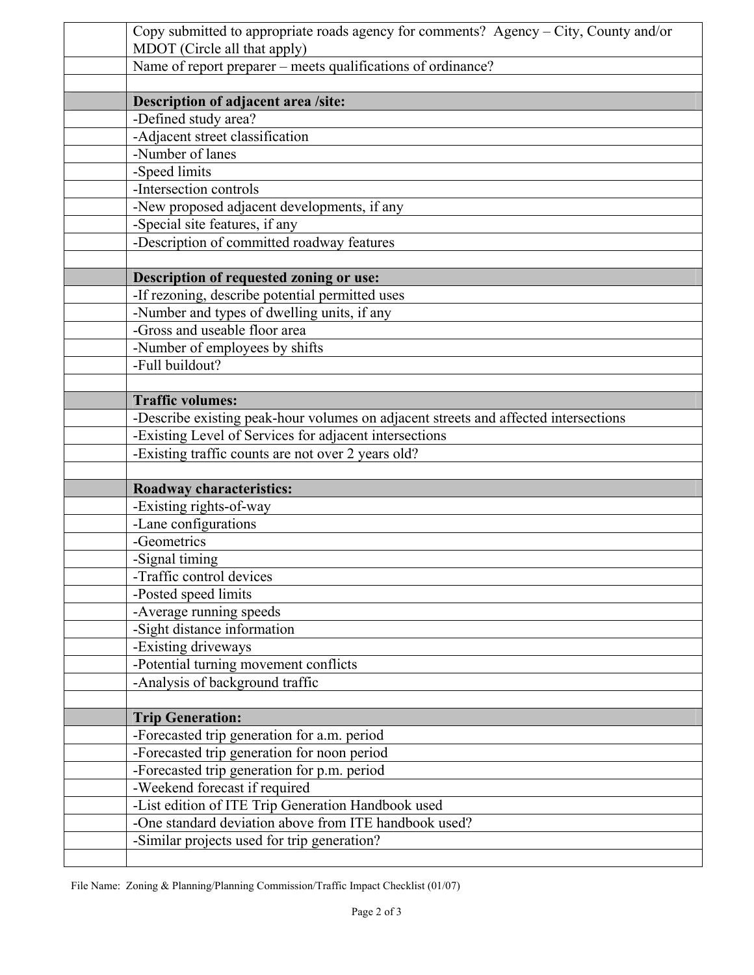| Copy submitted to appropriate roads agency for comments? Agency – City, County and/or<br>MDOT (Circle all that apply) |  |  |
|-----------------------------------------------------------------------------------------------------------------------|--|--|
| Name of report preparer – meets qualifications of ordinance?                                                          |  |  |
|                                                                                                                       |  |  |
| Description of adjacent area /site:                                                                                   |  |  |
| -Defined study area?                                                                                                  |  |  |
| -Adjacent street classification                                                                                       |  |  |
| -Number of lanes                                                                                                      |  |  |
| -Speed limits                                                                                                         |  |  |
| -Intersection controls                                                                                                |  |  |
| -New proposed adjacent developments, if any                                                                           |  |  |
| -Special site features, if any                                                                                        |  |  |
| -Description of committed roadway features                                                                            |  |  |
|                                                                                                                       |  |  |
| Description of requested zoning or use:                                                                               |  |  |
| -If rezoning, describe potential permitted uses                                                                       |  |  |
| -Number and types of dwelling units, if any                                                                           |  |  |
| -Gross and useable floor area                                                                                         |  |  |
| -Number of employees by shifts                                                                                        |  |  |
| -Full buildout?                                                                                                       |  |  |
| <b>Traffic volumes:</b>                                                                                               |  |  |
| -Describe existing peak-hour volumes on adjacent streets and affected intersections                                   |  |  |
| -Existing Level of Services for adjacent intersections                                                                |  |  |
| -Existing traffic counts are not over 2 years old?                                                                    |  |  |
|                                                                                                                       |  |  |
| <b>Roadway characteristics:</b>                                                                                       |  |  |
| -Existing rights-of-way                                                                                               |  |  |
| -Lane configurations                                                                                                  |  |  |
| -Geometrics                                                                                                           |  |  |
| -Signal timing                                                                                                        |  |  |
| -Traffic control devices                                                                                              |  |  |
| -Posted speed limits                                                                                                  |  |  |
| -Average running speeds                                                                                               |  |  |
| -Sight distance information                                                                                           |  |  |
| -Existing driveways                                                                                                   |  |  |
| -Potential turning movement conflicts                                                                                 |  |  |
| -Analysis of background traffic                                                                                       |  |  |
|                                                                                                                       |  |  |
| <b>Trip Generation:</b>                                                                                               |  |  |
| -Forecasted trip generation for a.m. period                                                                           |  |  |
| -Forecasted trip generation for noon period                                                                           |  |  |
| -Forecasted trip generation for p.m. period                                                                           |  |  |
| -Weekend forecast if required                                                                                         |  |  |
| -List edition of ITE Trip Generation Handbook used                                                                    |  |  |
| -One standard deviation above from ITE handbook used?                                                                 |  |  |
| -Similar projects used for trip generation?                                                                           |  |  |
|                                                                                                                       |  |  |